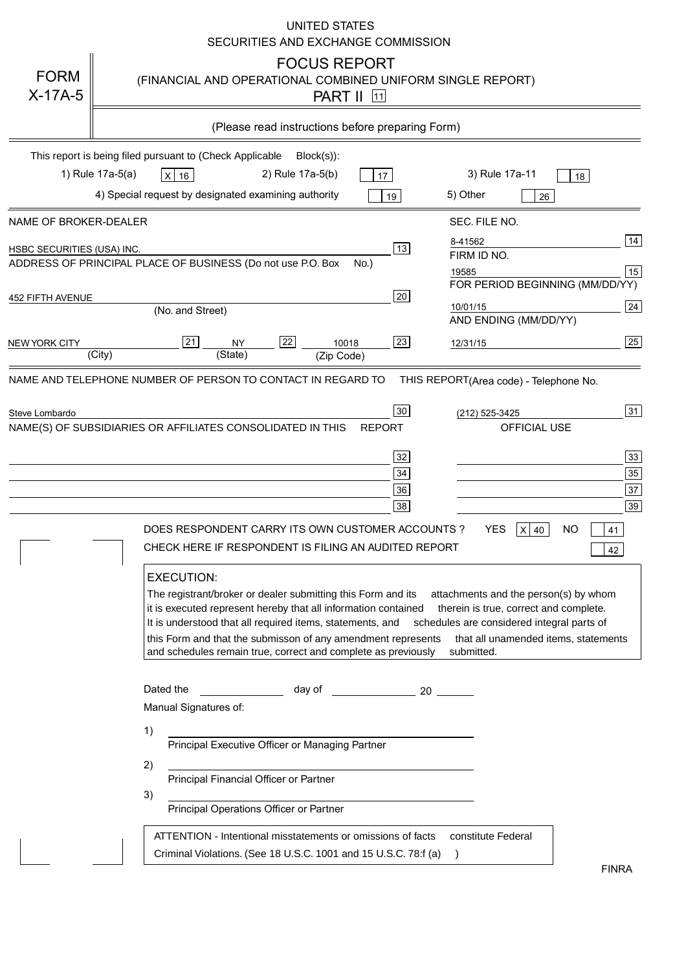|                            | UNITED STATES<br>SECURITIES AND EXCHANGE COMMISSION                                                                                                                                                                                                                                                                                                                                                                                                                                                                                                                                                                                                                                                                                                                                                               |
|----------------------------|-------------------------------------------------------------------------------------------------------------------------------------------------------------------------------------------------------------------------------------------------------------------------------------------------------------------------------------------------------------------------------------------------------------------------------------------------------------------------------------------------------------------------------------------------------------------------------------------------------------------------------------------------------------------------------------------------------------------------------------------------------------------------------------------------------------------|
| <b>FORM</b><br>$X-17A-5$   | <b>FOCUS REPORT</b><br>(FINANCIAL AND OPERATIONAL COMBINED UNIFORM SINGLE REPORT)<br><b>PART II</b> 11                                                                                                                                                                                                                                                                                                                                                                                                                                                                                                                                                                                                                                                                                                            |
|                            | (Please read instructions before preparing Form)                                                                                                                                                                                                                                                                                                                                                                                                                                                                                                                                                                                                                                                                                                                                                                  |
|                            | This report is being filed pursuant to (Check Applicable<br>$Block(s)$ :<br>1) Rule 17a-5(a)<br>3) Rule 17a-11<br>2) Rule 17a-5(b)<br>$X$ 16<br>17<br>18<br>4) Special request by designated examining authority<br>5) Other<br>19<br>26                                                                                                                                                                                                                                                                                                                                                                                                                                                                                                                                                                          |
| NAME OF BROKER-DEALER      | SEC. FILE NO.                                                                                                                                                                                                                                                                                                                                                                                                                                                                                                                                                                                                                                                                                                                                                                                                     |
| HSBC SECURITIES (USA) INC. | 14<br>8-41562<br>13<br>FIRM ID NO.<br>ADDRESS OF PRINCIPAL PLACE OF BUSINESS (Do not use P.O. Box<br>$No.$ )<br>15<br>19585                                                                                                                                                                                                                                                                                                                                                                                                                                                                                                                                                                                                                                                                                       |
| 452 FIFTH AVENUE           | FOR PERIOD BEGINNING (MM/DD/YY)<br>20<br>24<br>10/01/15<br>(No. and Street)<br>AND ENDING (MM/DD/YY)                                                                                                                                                                                                                                                                                                                                                                                                                                                                                                                                                                                                                                                                                                              |
| <b>NEW YORK CITY</b>       | $\overline{25}$<br>21<br>22<br>23<br><b>NY</b><br>10018<br>12/31/15<br>(City)<br>(State)<br>(Zip Code)                                                                                                                                                                                                                                                                                                                                                                                                                                                                                                                                                                                                                                                                                                            |
| Steve Lombardo             | 31<br>30<br>(212) 525-3425<br>NAME(S) OF SUBSIDIARIES OR AFFILIATES CONSOLIDATED IN THIS<br>OFFICIAL USE<br><b>REPORT</b><br>$\overline{33}$<br>32<br>$35\,$<br>34<br>$\overline{37}$<br>36<br>39<br>38<br><b>YES</b><br>DOES RESPONDENT CARRY ITS OWN CUSTOMER ACCOUNTS?<br>ΝO<br>$X$ 40<br>41<br>CHECK HERE IF RESPONDENT IS FILING AN AUDITED REPORT<br>42<br><b>EXECUTION:</b><br>The registrant/broker or dealer submitting this Form and its<br>attachments and the person(s) by whom                                                                                                                                                                                                                                                                                                                       |
|                            | it is executed represent hereby that all information contained<br>therein is true, correct and complete.<br>It is understood that all required items, statements, and<br>schedules are considered integral parts of<br>this Form and that the submisson of any amendment represents<br>that all unamended items, statements<br>and schedules remain true, correct and complete as previously<br>submitted.<br>Dated the<br>day of the control of the control of the control of the control of the control of the control of the control o<br>Manual Signatures of:<br>1)<br>Principal Executive Officer or Managing Partner<br>2)<br>Principal Financial Officer or Partner<br>3)<br>Principal Operations Officer or Partner<br>ATTENTION - Intentional misstatements or omissions of facts<br>constitute Federal |
|                            | Criminal Violations. (See 18 U.S.C. 1001 and 15 U.S.C. 78:f (a)<br>$\rightarrow$<br><b>FINRA</b>                                                                                                                                                                                                                                                                                                                                                                                                                                                                                                                                                                                                                                                                                                                  |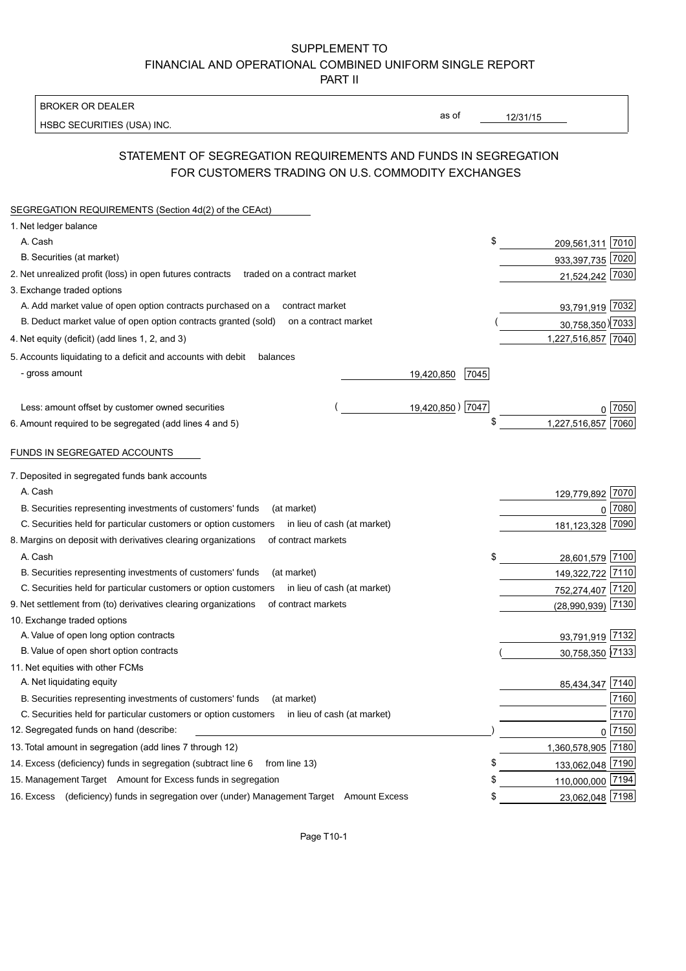#### SUPPLEMENT TO FINANCIAL AND OPERATIONAL COMBINED UNIFORM SINGLE REPORT PART II

**BROKER OR DEALER** 

HSBC SECURITIES (USA) INC.

 $12/31/15$ 

as of

## STATEMENT OF SEGREGATION REQUIREMENTS AND FUNDS IN SEGREGATION FOR CUSTOMERS TRADING ON U.S. COMMODITY EXCHANGES

| SEGREGATION REQUIREMENTS (Section 4d(2) of the CEAct)                                          |                    |                    |                     |
|------------------------------------------------------------------------------------------------|--------------------|--------------------|---------------------|
| 1. Net ledger balance                                                                          |                    |                    |                     |
| A. Cash                                                                                        | \$                 | 209,561,311 7010   |                     |
| B. Securities (at market)                                                                      |                    | 933,397,735 7020   |                     |
| 2. Net unrealized profit (loss) in open futures contracts<br>traded on a contract market       |                    | 21,524,242 7030    |                     |
| 3. Exchange traded options                                                                     |                    |                    |                     |
| A. Add market value of open option contracts purchased on a<br>contract market                 |                    | 93,791,919 7032    |                     |
| B. Deduct market value of open option contracts granted (sold)<br>on a contract market         |                    | 30,758,350) 7033   |                     |
| 4. Net equity (deficit) (add lines 1, 2, and 3)                                                |                    | 1,227,516,857 7040 |                     |
| 5. Accounts liquidating to a deficit and accounts with debit<br>balances                       |                    |                    |                     |
| - gross amount                                                                                 | 19,420,850<br>7045 |                    |                     |
|                                                                                                |                    |                    |                     |
| Less: amount offset by customer owned securities                                               | 19,420,850) 7047   |                    | 7050                |
| 6. Amount required to be segregated (add lines 4 and 5)                                        | \$                 | 1,227,516,857      | 7060                |
| FUNDS IN SEGREGATED ACCOUNTS                                                                   |                    |                    |                     |
| 7. Deposited in segregated funds bank accounts                                                 |                    |                    |                     |
| A. Cash                                                                                        |                    | 129,779,892        | 7070                |
| B. Securities representing investments of customers' funds<br>(at market)                      |                    | $\Omega$           | 7080                |
| C. Securities held for particular customers or option customers<br>in lieu of cash (at market) |                    | 181, 123, 328      | 7090                |
| 8. Margins on deposit with derivatives clearing organizations<br>of contract markets           |                    |                    |                     |
| A. Cash                                                                                        | \$                 | 28,601,579         | 7100                |
| B. Securities representing investments of customers' funds<br>(at market)                      |                    | 149,322,722 7110   |                     |
| C. Securities held for particular customers or option customers<br>in lieu of cash (at market) |                    | 752,274,407 7120   |                     |
| 9. Net settlement from (to) derivatives clearing organizations<br>of contract markets          |                    | (28,990,939)       | 7130                |
| 10. Exchange traded options                                                                    |                    |                    |                     |
| A. Value of open long option contracts                                                         |                    | 93,791,919 7132    |                     |
| B. Value of open short option contracts                                                        |                    | 30,758,350 7133    |                     |
| 11. Net equities with other FCMs                                                               |                    |                    |                     |
| A. Net liquidating equity                                                                      |                    | 85,434,347         | 7140                |
| B. Securities representing investments of customers' funds<br>(at market)                      |                    |                    | 7160                |
| C. Securities held for particular customers or option customers<br>in lieu of cash (at market) |                    |                    | 7170                |
| 12. Segregated funds on hand (describe:                                                        |                    |                    | $0 \overline{7150}$ |
| 13. Total amount in segregation (add lines 7 through 12)                                       |                    | 1,360,578,905 7180 |                     |
| 14. Excess (deficiency) funds in segregation (subtract line 6<br>from line 13)                 | S                  | 133,062,048 7190   |                     |
| 15. Management Target Amount for Excess funds in segregation                                   |                    | 110,000,000 7194   |                     |
| 16. Excess (deficiency) funds in segregation over (under) Management Target Amount Excess      | \$                 | 23,062,048 7198    |                     |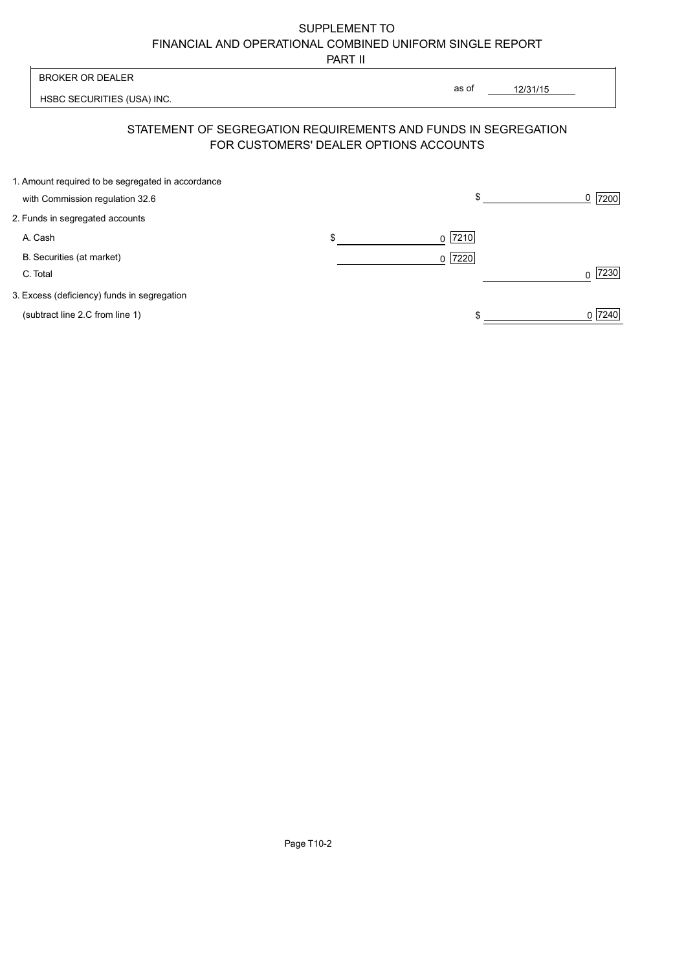# SUPPLEMENT TO FINANCIAL AND OPERATIONAL COMBINED UNIFORM SINGLE REPORT

PART II

| <b>BROKER OR DEALER</b>                                        |                                        | as of     | 12/31/15 |                  |
|----------------------------------------------------------------|----------------------------------------|-----------|----------|------------------|
| HSBC SECURITIES (USA) INC.                                     |                                        |           |          |                  |
| STATEMENT OF SEGREGATION REQUIREMENTS AND FUNDS IN SEGREGATION | FOR CUSTOMERS' DEALER OPTIONS ACCOUNTS |           |          |                  |
| 1. Amount required to be segregated in accordance              |                                        |           |          |                  |
| with Commission regulation 32.6                                |                                        | \$        |          | 7200<br>0        |
| 2. Funds in segregated accounts                                |                                        |           |          |                  |
| A. Cash                                                        | \$                                     | 7210<br>0 |          |                  |
| B. Securities (at market)<br>C. Total                          |                                        | 0 7220    |          | 7230<br>$\Omega$ |
| 3. Excess (deficiency) funds in segregation                    |                                        |           |          |                  |
| (subtract line 2.C from line 1)                                |                                        |           |          | 7240<br>0        |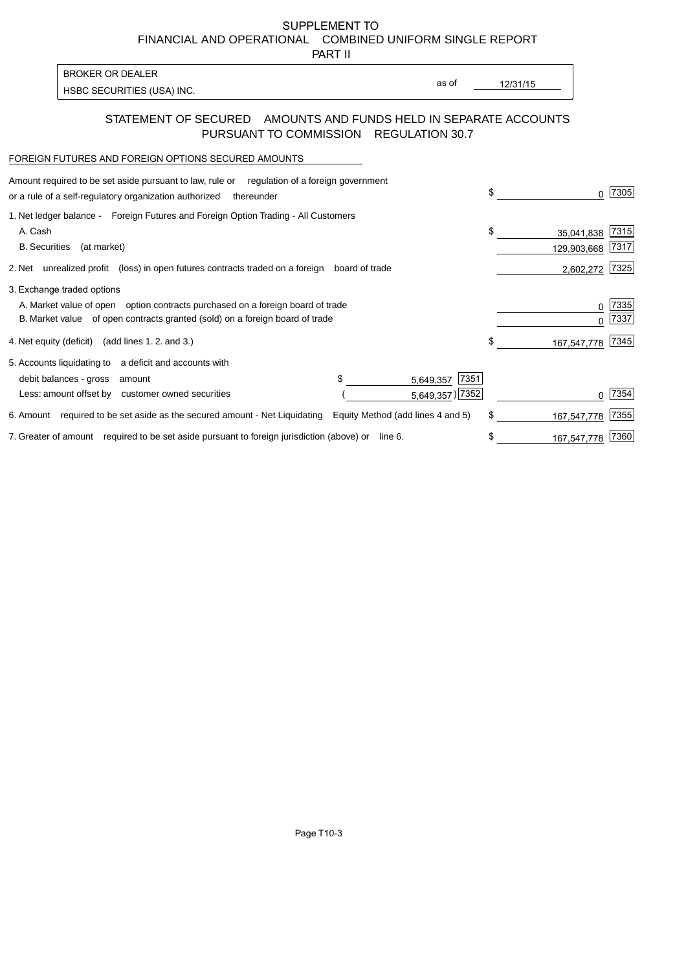SUPPLEMENT TO FINANCIAL AND OPERATIONAL COMBINED UNIFORM SINGLE REPORT

PART II

| <b>BROKER OR DEALER</b>    |  |
|----------------------------|--|
| HSBC SECURITIES (USA) INC. |  |

as of  $\overline{\phantom{a}}$ 

#### 12/31/15

#### STATEMENT OF SECURED AMOUNTS AND FUNDS HELD IN SEPARATE ACCOUNTS PURSUANT TO COMMISSION REGULATION 30.7

#### FOREIGN FUTURES AND FOREIGN OPTIONS SECURED AMOUNTS

| Amount required to be set aside pursuant to law, rule or equilation of a foreign government<br>or a rule of a self-regulatory organization authorized<br>thereunder                          |                                            | \$<br><sup>0</sup>              | 7305         |
|----------------------------------------------------------------------------------------------------------------------------------------------------------------------------------------------|--------------------------------------------|---------------------------------|--------------|
| 1. Net ledger balance - Foreign Futures and Foreign Option Trading - All Customers<br>A. Cash<br><b>B.</b> Securities<br>(at market)                                                         |                                            | \$<br>35,041,838<br>129,903,668 | 7315<br>7317 |
| 2. Net unrealized profit (loss) in open futures contracts traded on a foreign                                                                                                                | board of trade                             | 2,602,272                       | 7325         |
| 3. Exchange traded options<br>A. Market value of open option contracts purchased on a foreign board of trade<br>B. Market value of open contracts granted (sold) on a foreign board of trade |                                            | 0<br><sup>n</sup>               | 7335<br>7337 |
| 4. Net equity (deficit) (add lines 1. 2. and 3.)                                                                                                                                             |                                            | \$<br>167,547,778               | 7345         |
| 5. Accounts liquidating to a deficit and accounts with<br>debit balances - gross<br>amount<br>Less: amount offset by customer owned securities                                               | \$<br>7351<br>5,649,357<br>5,649,357) 7352 |                                 | 7354         |
| 6. Amount required to be set aside as the secured amount - Net Liquidating                                                                                                                   | Equity Method (add lines 4 and 5)          | \$<br>167,547,778               | 7355         |
| 7. Greater of amount required to be set aside pursuant to foreign jurisdiction (above) or line 6.                                                                                            |                                            | \$<br>167,547,778               | 7360         |
|                                                                                                                                                                                              |                                            |                                 |              |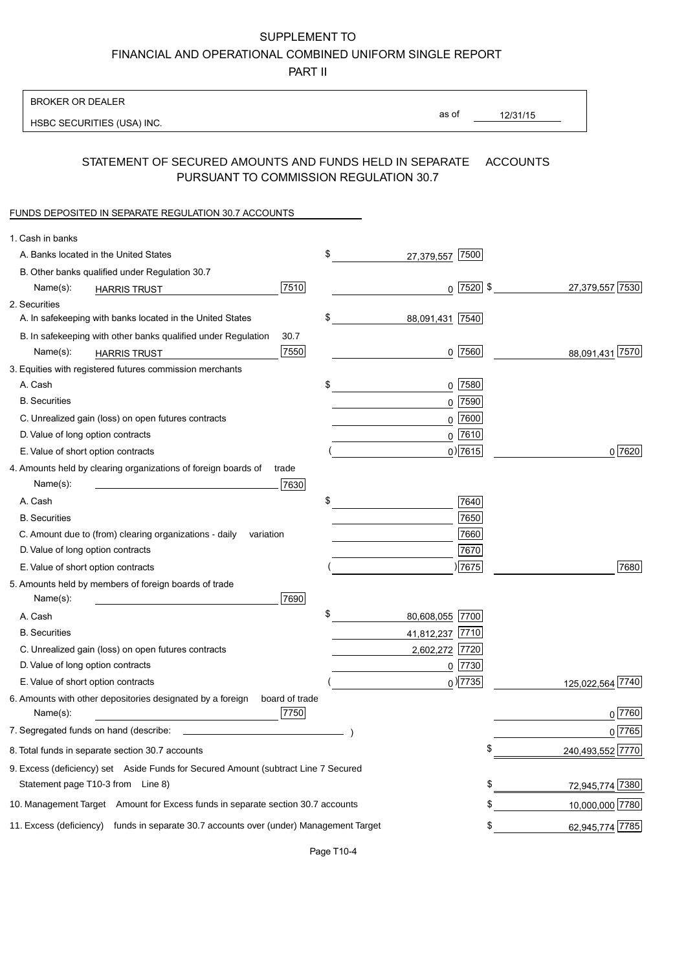SUPPLEMENT TO

FINANCIAL AND OPERATIONAL COMBINED UNIFORM SINGLE REPORT

PART II

| <b>BROKER OR DEALER</b>                                                                           |                       |             |                 |                  |
|---------------------------------------------------------------------------------------------------|-----------------------|-------------|-----------------|------------------|
| HSBC SECURITIES (USA) INC.                                                                        | as of                 |             | 12/31/15        |                  |
|                                                                                                   |                       |             |                 |                  |
| STATEMENT OF SECURED AMOUNTS AND FUNDS HELD IN SEPARATE<br>PURSUANT TO COMMISSION REGULATION 30.7 |                       |             | <b>ACCOUNTS</b> |                  |
| FUNDS DEPOSITED IN SEPARATE REGULATION 30.7 ACCOUNTS                                              |                       |             |                 |                  |
| 1. Cash in banks                                                                                  |                       |             |                 |                  |
| A. Banks located in the United States                                                             | \$<br>27,379,557      | 7500        |                 |                  |
| B. Other banks qualified under Regulation 30.7                                                    |                       |             |                 |                  |
| 7510<br>Name(s):<br><b>HARRIS TRUST</b>                                                           | $\mathbf 0$           | $ 7520 $ \$ |                 | 27,379,557 7530  |
| 2. Securities                                                                                     |                       |             |                 |                  |
| A. In safekeeping with banks located in the United States                                         | \$<br>88,091,431 7540 |             |                 |                  |
| B. In safekeeping with other banks qualified under Regulation<br>30.7                             |                       |             |                 |                  |
| 7550<br>Name(s):<br><b>HARRIS TRUST</b>                                                           |                       | 0 7560      |                 | 88,091,431 7570  |
| 3. Equities with registered futures commission merchants                                          |                       |             |                 |                  |
| A. Cash                                                                                           | \$<br>0               | 7580        |                 |                  |
| <b>B.</b> Securities                                                                              | 0                     | 7590        |                 |                  |
| C. Unrealized gain (loss) on open futures contracts                                               | 0                     | 7600        |                 |                  |
| D. Value of long option contracts                                                                 |                       | $0$ 7610    |                 |                  |
| E. Value of short option contracts                                                                |                       | $0)$ 7615   |                 | 0 7620           |
| 4. Amounts held by clearing organizations of foreign boards of<br>trade                           |                       |             |                 |                  |
| 7630<br>Name(s):                                                                                  |                       |             |                 |                  |
| A. Cash                                                                                           | \$                    | 7640        |                 |                  |
| <b>B.</b> Securities                                                                              |                       | 7650        |                 |                  |
| C. Amount due to (from) clearing organizations - daily<br>variation                               |                       | 7660        |                 |                  |
| D. Value of long option contracts                                                                 |                       | 7670        |                 |                  |
| E. Value of short option contracts                                                                |                       | )7675       |                 | 7680             |
| 5. Amounts held by members of foreign boards of trade<br>7690<br>Name(s):                         |                       |             |                 |                  |
| A. Cash                                                                                           | \$<br>80,608,055 7700 |             |                 |                  |
| <b>B.</b> Securities                                                                              | 41,812,237            | 7710        |                 |                  |
| C. Unrealized gain (loss) on open futures contracts                                               | 2,602,272 7720        |             |                 |                  |
| D. Value of long option contracts                                                                 | 0                     | 7730        |                 |                  |
| E. Value of short option contracts                                                                |                       | $_0$ ) 7735 |                 | 125,022,564 7740 |
| 6. Amounts with other depositories designated by a foreign<br>board of trade<br>7750<br>Name(s):  |                       |             |                 | 0 7760           |
| 7. Segregated funds on hand (describe:                                                            |                       |             |                 | 0 7765           |
| 8. Total funds in separate section 30.7 accounts                                                  |                       | \$          |                 | 240,493,552 7770 |
| 9. Excess (deficiency) set Aside Funds for Secured Amount (subtract Line 7 Secured                |                       |             |                 |                  |
| Statement page T10-3 from Line 8)                                                                 |                       | \$          |                 | 72,945,774 7380  |
| 10. Management Target Amount for Excess funds in separate section 30.7 accounts                   |                       | \$          |                 | 10,000,000 7780  |
| 11. Excess (deficiency) funds in separate 30.7 accounts over (under) Management Target            |                       | \$          |                 | 62,945,774 7785  |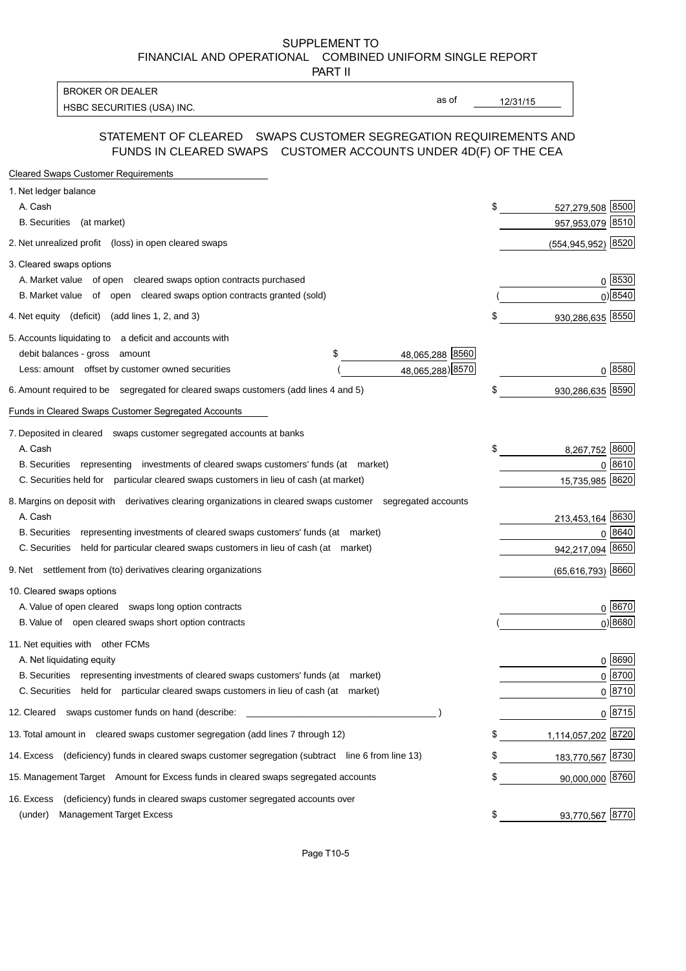SUPPLEMENT TO FINANCIAL AND OPERATIONAL COMBINED UNIFORM SINGLE REPORT

PART II

**BROKER OR DEALER** HSBC SECURITIES (USA) INC.

as of

 $12/31/15$ 

### STATEMENT OF CLEARED SWAPS CUSTOMER SEGREGATION REQUIREMENTS AND FUNDS IN CLEARED SWAPS CUSTOMER ACCOUNTS UNDER 4D(F) OF THE CEA

| <b>Cleared Swaps Customer Requirements</b>                                                                  |                          |
|-------------------------------------------------------------------------------------------------------------|--------------------------|
| 1. Net ledger balance                                                                                       |                          |
| A. Cash                                                                                                     | \$<br>527,279,508 8500   |
| B. Securities (at market)                                                                                   | 957,953,079 8510         |
| 2. Net unrealized profit (loss) in open cleared swaps                                                       | 8520<br>(554, 945, 952)  |
| 3. Cleared swaps options                                                                                    |                          |
| A. Market value of open cleared swaps option contracts purchased                                            | 0 8530                   |
| B. Market value of open cleared swaps option contracts granted (sold)                                       | $0)$ 8540                |
| 4. Net equity (deficit) (add lines 1, 2, and 3)                                                             | \$<br>930,286,635 8550   |
| 5. Accounts liquidating to a deficit and accounts with                                                      |                          |
| 48,065,288 8560<br>debit balances - gross amount<br>S                                                       |                          |
| 48,065,288) 8570<br>Less: amount offset by customer owned securities                                        | $0^{8580}$               |
| 6. Amount required to be segregated for cleared swaps customers (add lines 4 and 5)                         | 930,286,635 8590         |
| Funds in Cleared Swaps Customer Segregated Accounts                                                         |                          |
| 7. Deposited in cleared swaps customer segregated accounts at banks                                         |                          |
| A. Cash                                                                                                     | \$<br>8,267,752 8600     |
| B. Securities representing investments of cleared swaps customers' funds (at market)                        | 0 8610                   |
| C. Securities held for particular cleared swaps customers in lieu of cash (at market)                       | 15,735,985 8620          |
| 8. Margins on deposit with derivatives clearing organizations in cleared swaps customer segregated accounts |                          |
| A. Cash                                                                                                     | 213,453,164 8630         |
| representing investments of cleared swaps customers' funds (at market)<br><b>B.</b> Securities              | 0 8640                   |
| C. Securities<br>held for particular cleared swaps customers in lieu of cash (at market)                    | 942,217,094 8650         |
| 9. Net settlement from (to) derivatives clearing organizations                                              | $(65,616,793)$ 8660      |
| 10. Cleared swaps options                                                                                   |                          |
| A. Value of open cleared swaps long option contracts                                                        | 0 8670                   |
| B. Value of open cleared swaps short option contracts                                                       | 0) 8680                  |
| 11. Net equities with other FCMs                                                                            |                          |
| A. Net liquidating equity                                                                                   | 0 8690                   |
| B. Securities representing investments of cleared swaps customers' funds (at market)                        | 0 8700                   |
| C. Securities held for particular cleared swaps customers in lieu of cash (at market)                       | 0 8710                   |
| 12. Cleared swaps customer funds on hand (describe:                                                         | $0 \ 8715$               |
| 13. Total amount in cleared swaps customer segregation (add lines 7 through 12)                             | \$<br>1,114,057,202 8720 |
| 14. Excess (deficiency) funds in cleared swaps customer segregation (subtract line 6 from line 13)          | 183,770,567 8730         |
| 15. Management Target Amount for Excess funds in cleared swaps segregated accounts                          | \$<br>90,000,000 8760    |
| (deficiency) funds in cleared swaps customer segregated accounts over<br>16. Excess                         |                          |
| (under)<br><b>Management Target Excess</b>                                                                  | \$<br>93,770,567 8770    |